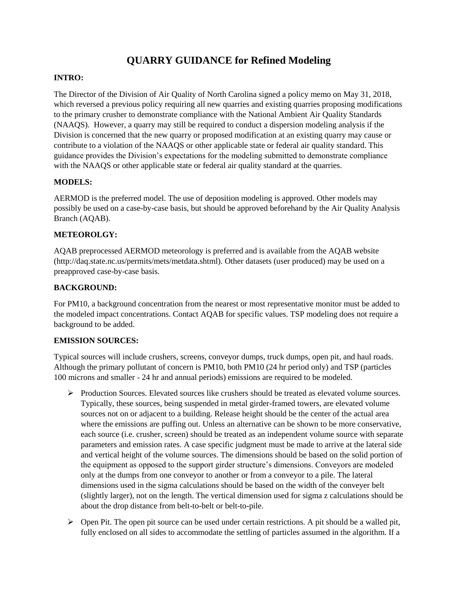# **QUARRY GUIDANCE for Refined Modeling**

## **INTRO:**

The Director of the Division of Air Quality of North Carolina signed a policy memo on May 31, 2018, which reversed a previous policy requiring all new quarries and existing quarries proposing modifications to the primary crusher to demonstrate compliance with the National Ambient Air Quality Standards (NAAQS). However, a quarry may still be required to conduct a dispersion modeling analysis if the Division is concerned that the new quarry or proposed modification at an existing quarry may cause or contribute to a violation of the NAAQS or other applicable state or federal air quality standard. This guidance provides the Division's expectations for the modeling submitted to demonstrate compliance with the NAAQS or other applicable state or federal air quality standard at the quarries.

## **MODELS:**

AERMOD is the preferred model. The use of deposition modeling is approved. Other models may possibly be used on a case-by-case basis, but should be approved beforehand by the Air Quality Analysis Branch (AQAB).

## **METEOROLGY:**

AQAB preprocessed AERMOD meteorology is preferred and is available from the AQAB website (http://daq.state.nc.us/permits/mets/metdata.shtml). Other datasets (user produced) may be used on a preapproved case-by-case basis.

#### **BACKGROUND:**

For PM10, a background concentration from the nearest or most representative monitor must be added to the modeled impact concentrations. Contact AQAB for specific values. TSP modeling does not require a background to be added.

#### **EMISSION SOURCES:**

Typical sources will include crushers, screens, conveyor dumps, truck dumps, open pit, and haul roads. Although the primary pollutant of concern is PM10, both PM10 (24 hr period only) and TSP (particles 100 microns and smaller - 24 hr and annual periods) emissions are required to be modeled.

- ➢ Production Sources. Elevated sources like crushers should be treated as elevated volume sources. Typically, these sources, being suspended in metal girder-framed towers, are elevated volume sources not on or adjacent to a building. Release height should be the center of the actual area where the emissions are puffing out. Unless an alternative can be shown to be more conservative, each source (i.e. crusher, screen) should be treated as an independent volume source with separate parameters and emission rates. A case specific judgment must be made to arrive at the lateral side and vertical height of the volume sources. The dimensions should be based on the solid portion of the equipment as opposed to the support girder structure's dimensions. Conveyors are modeled only at the dumps from one conveyor to another or from a conveyor to a pile. The lateral dimensions used in the sigma calculations should be based on the width of the conveyer belt (slightly larger), not on the length. The vertical dimension used for sigma z calculations should be about the drop distance from belt-to-belt or belt-to-pile.
- $\triangleright$  Open Pit. The open pit source can be used under certain restrictions. A pit should be a walled pit, fully enclosed on all sides to accommodate the settling of particles assumed in the algorithm. If a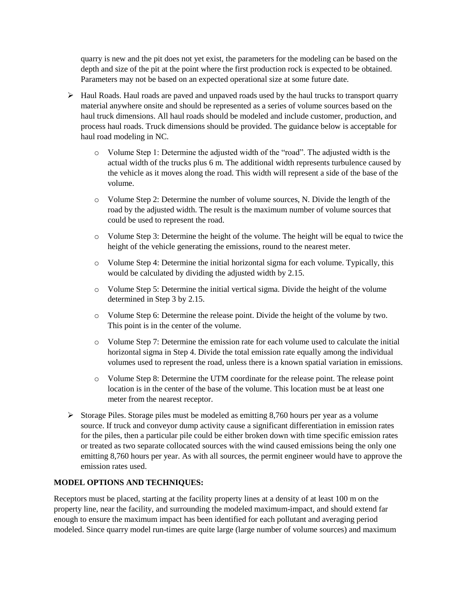quarry is new and the pit does not yet exist, the parameters for the modeling can be based on the depth and size of the pit at the point where the first production rock is expected to be obtained. Parameters may not be based on an expected operational size at some future date.

- ➢ Haul Roads. Haul roads are paved and unpaved roads used by the haul trucks to transport quarry material anywhere onsite and should be represented as a series of volume sources based on the haul truck dimensions. All haul roads should be modeled and include customer, production, and process haul roads. Truck dimensions should be provided. The guidance below is acceptable for haul road modeling in NC.
	- o Volume Step 1: Determine the adjusted width of the "road". The adjusted width is the actual width of the trucks plus 6 m. The additional width represents turbulence caused by the vehicle as it moves along the road. This width will represent a side of the base of the volume.
	- o Volume Step 2: Determine the number of volume sources, N. Divide the length of the road by the adjusted width. The result is the maximum number of volume sources that could be used to represent the road.
	- o Volume Step 3: Determine the height of the volume. The height will be equal to twice the height of the vehicle generating the emissions, round to the nearest meter.
	- o Volume Step 4: Determine the initial horizontal sigma for each volume. Typically, this would be calculated by dividing the adjusted width by 2.15.
	- o Volume Step 5: Determine the initial vertical sigma. Divide the height of the volume determined in Step 3 by 2.15.
	- o Volume Step 6: Determine the release point. Divide the height of the volume by two. This point is in the center of the volume.
	- o Volume Step 7: Determine the emission rate for each volume used to calculate the initial horizontal sigma in Step 4. Divide the total emission rate equally among the individual volumes used to represent the road, unless there is a known spatial variation in emissions.
	- o Volume Step 8: Determine the UTM coordinate for the release point. The release point location is in the center of the base of the volume. This location must be at least one meter from the nearest receptor.
- $\triangleright$  Storage Piles. Storage piles must be modeled as emitting 8,760 hours per year as a volume source. If truck and conveyor dump activity cause a significant differentiation in emission rates for the piles, then a particular pile could be either broken down with time specific emission rates or treated as two separate collocated sources with the wind caused emissions being the only one emitting 8,760 hours per year. As with all sources, the permit engineer would have to approve the emission rates used.

## **MODEL OPTIONS AND TECHNIQUES:**

Receptors must be placed, starting at the facility property lines at a density of at least 100 m on the property line, near the facility, and surrounding the modeled maximum-impact, and should extend far enough to ensure the maximum impact has been identified for each pollutant and averaging period modeled. Since quarry model run-times are quite large (large number of volume sources) and maximum